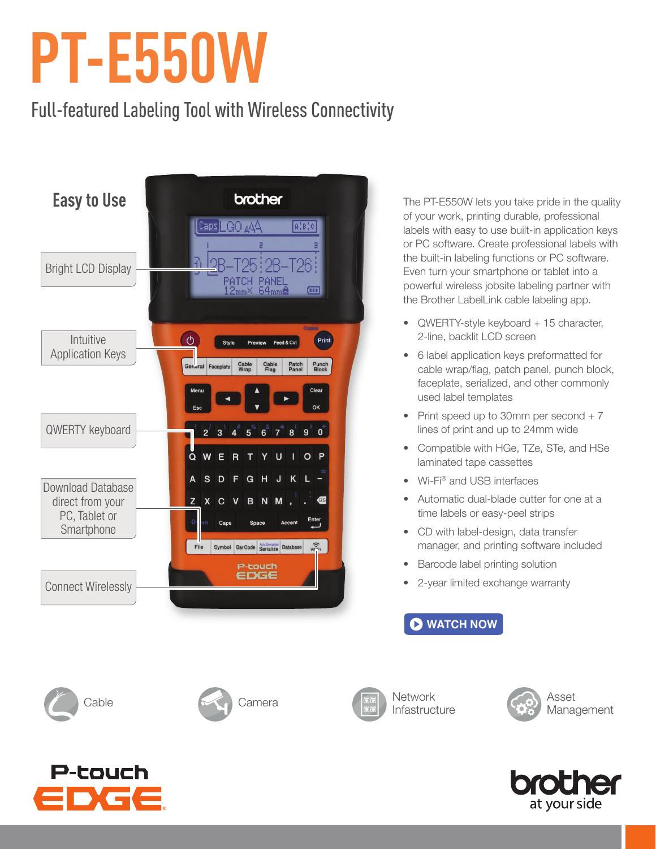## **PT-E550W**

## Full-featured Labeling Tool with Wireless Connectivity



The PT-E550W lets you take pride in the quality of your work, printing durable, professional labels with easy to use built-in application keys or PC software. Create professional labels with the built-in labeling functions or PC software. Even turn your smartphone or tablet into a powerful wireless jobsite labeling partner with the Brother LabelLink cable labeling app.

- QWERTY-style keyboard + 15 character, 2-line, backlit LCD screen
- 6 label application keys preformatted for cable wrap/flag, patch panel, punch block, faceplate, serialized, and other commonly used label templates
- Print speed up to 30mm per second  $+ 7$ lines of print and up to 24mm wide
- Compatible with HGe, TZe, STe, and HSe laminated tape cassettes
- Wi-Fi® and USB interfaces
- Automatic dual-blade cutter for one at a time labels or easy-peel strips
- CD with label-design, data transfer manager, and printing software included
- Barcode label printing solution
- 2-year limited exchange warranty









Infastructure